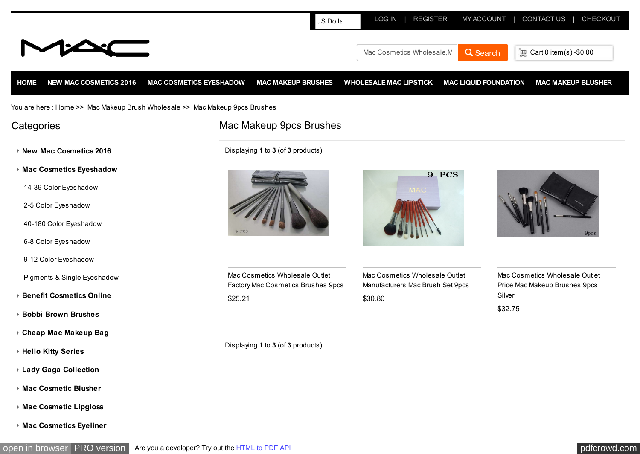

- **[Mac Cosmetic Blusher](http://www.maccosmeticswholesaleoutlet.com/mac-cosmetic-blusher-c-17/?zenid=4rt8copvojmdpuvsji0kns676er57i0s)**
- **[Mac Cosmetic Lipgloss](http://www.maccosmeticswholesaleoutlet.com/mac-cosmetic-lipgloss-c-9/?zenid=4rt8copvojmdpuvsji0kns676er57i0s)**
- **[Mac Cosmetics Eyeliner](http://www.maccosmeticswholesaleoutlet.com/mac-cosmetics-eyeliner-c-12/?zenid=4rt8copvojmdpuvsji0kns676er57i0s)**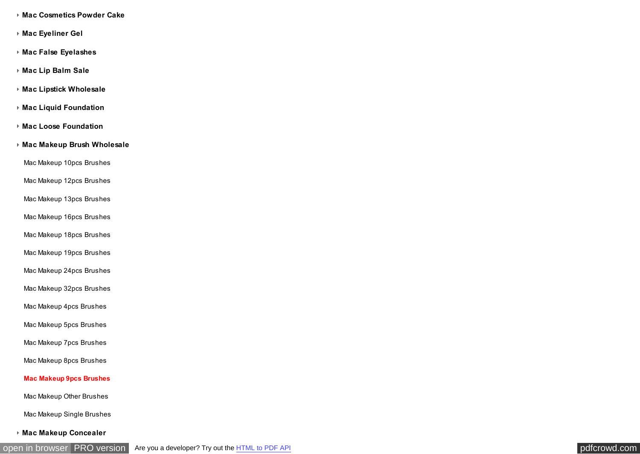- **[Mac Cosmetics Powder Cake](http://www.maccosmeticswholesaleoutlet.com/mac-cosmetics-powder-cake-c-27/?zenid=4rt8copvojmdpuvsji0kns676er57i0s)**
- **[Mac Eyeliner Gel](http://www.maccosmeticswholesaleoutlet.com/mac-eyeliner-gel-c-28/?zenid=4rt8copvojmdpuvsji0kns676er57i0s)**
- **[Mac False Eyelashes](http://www.maccosmeticswholesaleoutlet.com/mac-false-eyelashes-c-7/?zenid=4rt8copvojmdpuvsji0kns676er57i0s)**
- **[Mac Lip Balm Sale](http://www.maccosmeticswholesaleoutlet.com/mac-lip-balm-sale-c-10/?zenid=4rt8copvojmdpuvsji0kns676er57i0s)**
- **[Mac Lipstick Wholesale](http://www.maccosmeticswholesaleoutlet.com/mac-lipstick-wholesale-c-22/?zenid=4rt8copvojmdpuvsji0kns676er57i0s)**
- **[Mac Liquid Foundation](http://www.maccosmeticswholesaleoutlet.com/mac-liquid-foundation-c-49/?zenid=4rt8copvojmdpuvsji0kns676er57i0s)**
- **[Mac Loose Foundation](http://www.maccosmeticswholesaleoutlet.com/mac-loose-foundation-c-50/?zenid=4rt8copvojmdpuvsji0kns676er57i0s)**

#### **[Mac Makeup Brush Wholesale](http://www.maccosmeticswholesaleoutlet.com/mac-makeup-brush-wholesale-c-18/?zenid=4rt8copvojmdpuvsji0kns676er57i0s)**

- [Mac Makeup 10pcs Brushes](http://www.maccosmeticswholesaleoutlet.com/mac-makeup-10pcs-brushes-c-18_31/?zenid=4rt8copvojmdpuvsji0kns676er57i0s)
- [Mac Makeup 12pcs Brushes](http://www.maccosmeticswholesaleoutlet.com/mac-makeup-12pcs-brushes-c-18_32/?zenid=4rt8copvojmdpuvsji0kns676er57i0s)
- [Mac Makeup 13pcs Brushes](http://www.maccosmeticswholesaleoutlet.com/mac-makeup-13pcs-brushes-c-18_42/?zenid=4rt8copvojmdpuvsji0kns676er57i0s)
- [Mac Makeup 16pcs Brushes](http://www.maccosmeticswholesaleoutlet.com/mac-makeup-16pcs-brushes-c-18_41/?zenid=4rt8copvojmdpuvsji0kns676er57i0s)
- [Mac Makeup 18pcs Brushes](http://www.maccosmeticswholesaleoutlet.com/mac-makeup-18pcs-brushes-c-18_44/?zenid=4rt8copvojmdpuvsji0kns676er57i0s)
- [Mac Makeup 19pcs Brushes](http://www.maccosmeticswholesaleoutlet.com/mac-makeup-19pcs-brushes-c-18_45/?zenid=4rt8copvojmdpuvsji0kns676er57i0s)
- [Mac Makeup 24pcs Brushes](http://www.maccosmeticswholesaleoutlet.com/mac-makeup-24pcs-brushes-c-18_39/?zenid=4rt8copvojmdpuvsji0kns676er57i0s)
- [Mac Makeup 32pcs Brushes](http://www.maccosmeticswholesaleoutlet.com/mac-makeup-32pcs-brushes-c-18_38/?zenid=4rt8copvojmdpuvsji0kns676er57i0s)
- [Mac Makeup 4pcs Brushes](http://www.maccosmeticswholesaleoutlet.com/mac-makeup-4pcs-brushes-c-18_46/?zenid=4rt8copvojmdpuvsji0kns676er57i0s)
- [Mac Makeup 5pcs Brushes](http://www.maccosmeticswholesaleoutlet.com/mac-makeup-5pcs-brushes-c-18_40/?zenid=4rt8copvojmdpuvsji0kns676er57i0s)
- [Mac Makeup 7pcs Brushes](http://www.maccosmeticswholesaleoutlet.com/mac-makeup-7pcs-brushes-c-18_43/?zenid=4rt8copvojmdpuvsji0kns676er57i0s)
- [Mac Makeup 8pcs Brushes](http://www.maccosmeticswholesaleoutlet.com/mac-makeup-8pcs-brushes-c-18_53/?zenid=4rt8copvojmdpuvsji0kns676er57i0s)

#### **[Mac Makeup 9pcs Brushes](http://www.maccosmeticswholesaleoutlet.com/mac-makeup-9pcs-brushes-c-18_52/?zenid=4rt8copvojmdpuvsji0kns676er57i0s)**

- [Mac Makeup Other Brushes](http://www.maccosmeticswholesaleoutlet.com/mac-makeup-other-brushes-c-18_51/?zenid=4rt8copvojmdpuvsji0kns676er57i0s)
- [Mac Makeup Single Brushes](http://www.maccosmeticswholesaleoutlet.com/mac-makeup-single-brushes-c-18_19/?zenid=4rt8copvojmdpuvsji0kns676er57i0s)
- **[Mac Makeup Concealer](http://www.maccosmeticswholesaleoutlet.com/mac-makeup-concealer-c-21/?zenid=4rt8copvojmdpuvsji0kns676er57i0s)**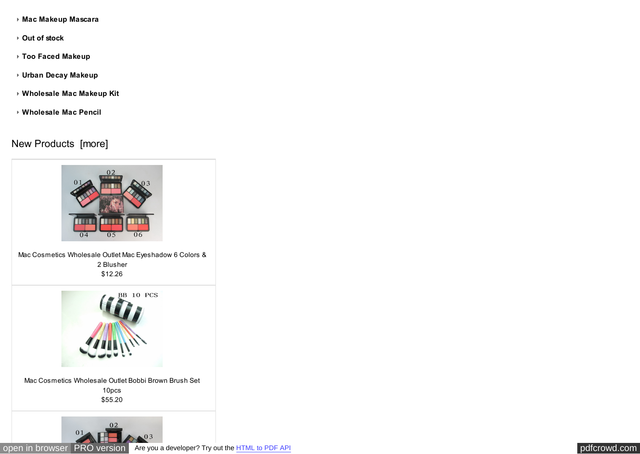- **[Mac Makeup Mascara](http://www.maccosmeticswholesaleoutlet.com/mac-makeup-mascara-c-14/?zenid=4rt8copvojmdpuvsji0kns676er57i0s)**
- **[Out of stock](http://www.maccosmeticswholesaleoutlet.com/out-of-stock-c-2/?zenid=4rt8copvojmdpuvsji0kns676er57i0s)**
- **[Too Faced Makeup](http://www.maccosmeticswholesaleoutlet.com/too-faced-makeup-c-23/?zenid=4rt8copvojmdpuvsji0kns676er57i0s)**
- **[Urban Decay Makeup](http://www.maccosmeticswholesaleoutlet.com/urban-decay-makeup-c-3/?zenid=4rt8copvojmdpuvsji0kns676er57i0s)**
- **[Wholesale Mac Makeup Kit](http://www.maccosmeticswholesaleoutlet.com/wholesale-mac-makeup-kit-c-20/?zenid=4rt8copvojmdpuvsji0kns676er57i0s)**
- **[Wholesale Mac Pencil](http://www.maccosmeticswholesaleoutlet.com/wholesale-mac-pencil-c-35/?zenid=4rt8copvojmdpuvsji0kns676er57i0s)**

# [New Products \[more\]](http://www.maccosmeticswholesaleoutlet.com/products_new.html?zenid=4rt8copvojmdpuvsji0kns676er57i0s)



[Mac Cosmetics Wholesale Outlet Mac Eyeshadow 6 Colors &](http://www.maccosmeticswholesaleoutlet.com/out-of-stock-c-2/mac-cosmetics-wholesale-outlet-mac-eyeshadow-6-colors-2-blusher-p-639.html?zenid=4rt8copvojmdpuvsji0kns676er57i0s) 2 Blusher \$12.26



[Mac Cosmetics Wholesale Outlet Bobbi Brown Brush Set](http://www.maccosmeticswholesaleoutlet.com/bobbi-brown-brushes-c-37/mac-cosmetics-wholesale-outlet-bobbi-brown-brush-set-10pcs-p-640.html?zenid=4rt8copvojmdpuvsji0kns676er57i0s) 10pcs \$55.20